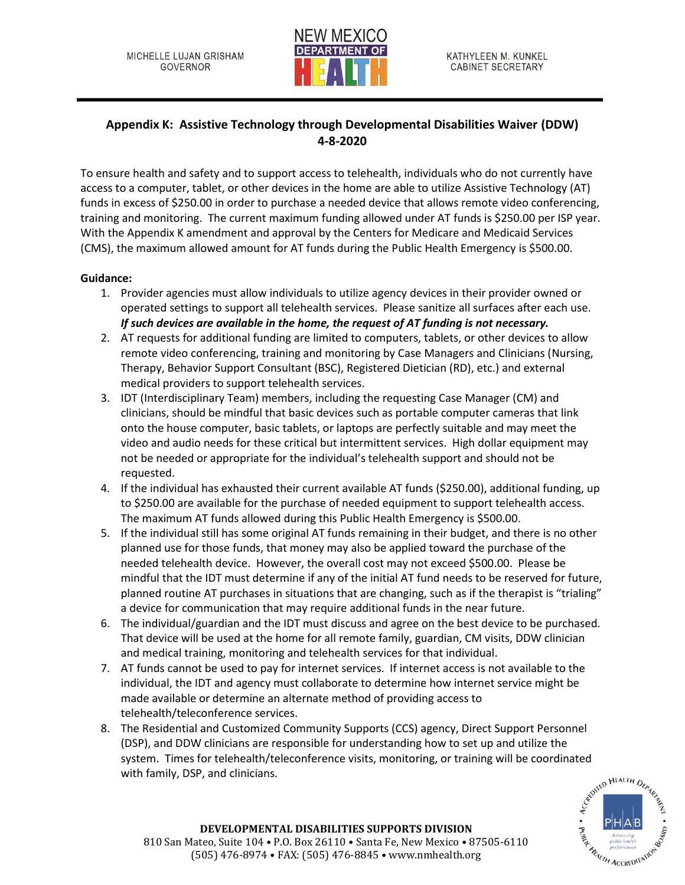

## **Appendix K: Assistive Technology through Developmental Disabilities Waiver (DDW) 4-8-2020**

To ensure health and safety and to support access to telehealth, individuals who do not currently have access to a computer, tablet, or other devices in the home are able to utilize Assistive Technology (AT) funds in excess of \$250.00 in order to purchase a needed device that allows remote video conferencing, training and monitoring. The current maximum funding allowed under AT funds is \$250.00 per ISP year. With the Appendix K amendment and approval by the Centers for Medicare and Medicaid Services (CMS), the maximum allowed amount for AT funds during the Public Health Emergency is \$500.00.

## **Guidance:**

- 1. Provider agencies must allow individuals to utilize agency devices in their provider owned or operated settings to support all telehealth services. Please sanitize all surfaces after each use. *If such devices are available in the home, the request of AT funding is not necessary.*
- 2. AT requests for additional funding are limited to computers, tablets, or other devices to allow remote video conferencing, training and monitoring by Case Managers and Clinicians (Nursing, Therapy, Behavior Support Consultant (BSC), Registered Dietician (RD), etc.) and external medical providers to support telehealth services.
- 3. IDT (Interdisciplinary Team) members, including the requesting Case Manager (CM) and clinicians, should be mindful that basic devices such as portable computer cameras that link onto the house computer, basic tablets, or laptops are perfectly suitable and may meet the video and audio needs for these critical but intermittent services. High dollar equipment may not be needed or appropriate for the individual's telehealth support and should not be requested.
- 4. If the individual has exhausted their current available AT funds (\$250.00), additional funding, up to \$250.00 are available for the purchase of needed equipment to support telehealth access. The maximum AT funds allowed during this Public Health Emergency is \$500.00.
- 5. If the individual still has some original AT funds remaining in their budget, and there is no other planned use for those funds, that money may also be applied toward the purchase of the needed telehealth device. However, the overall cost may not exceed \$500.00. Please be mindful that the IDT must determine if any of the initial AT fund needs to be reserved for future, planned routine AT purchases in situations that are changing, such as if the therapist is "trialing" a device for communication that may require additional funds in the near future.
- 6. The individual/guardian and the IDT must discuss and agree on the best device to be purchased. That device will be used at the home for all remote family, guardian, CM visits, DDW clinician and medical training, monitoring and telehealth services for that individual.
- 7. AT funds cannot be used to pay for internet services. If internet access is not available to the individual, the IDT and agency must collaborate to determine how internet service might be made available or determine an alternate method of providing access to telehealth/teleconference services.
- 8. The Residential and Customized Community Supports (CCS) agency, Direct Support Personnel (DSP), and DDW clinicians are responsible for understanding how to set up and utilize the system. Times for telehealth/teleconference visits, monitoring, or training will be coordinated<br>with family, DSP, and clinicians.<br>می<sup>م به اقتصادی</sup> به اقتصادی به اقتصادی به اقتصادی به اقتصادی به اقتصادی به اقتصادی به اقتصا with family, DSP, and clinicians.